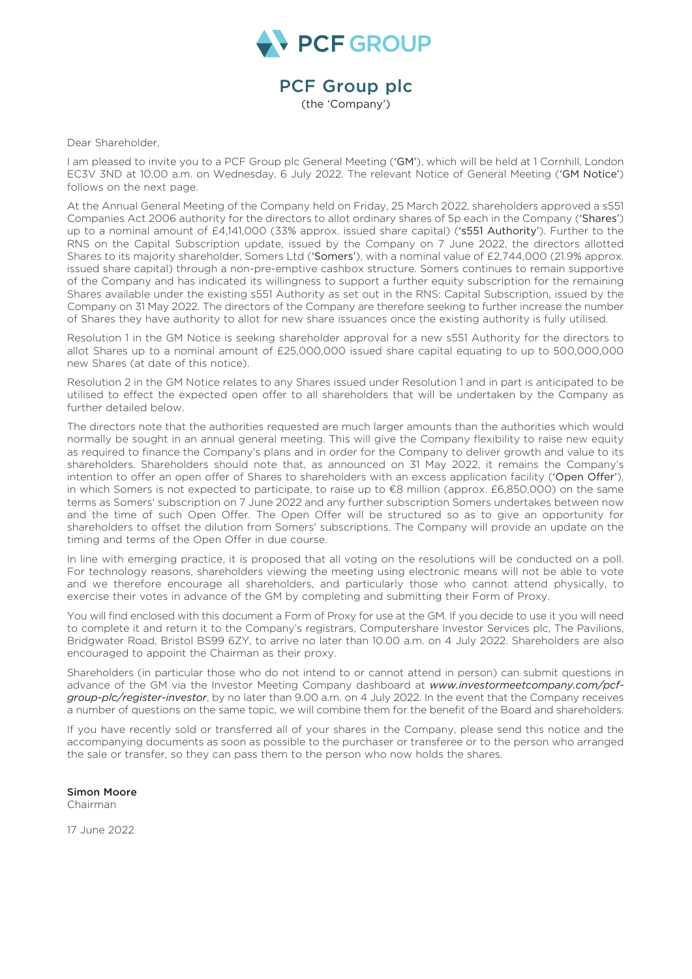

PCF Group plc

(the 'Company')

Dear Shareholder,

I am pleased to invite you to a PCF Group plc General Meeting ('GM'), which will be held at 1 Cornhill, London EC3V 3ND at 10.00 a.m. on Wednesday, 6 July 2022. The relevant Notice of General Meeting ('GM Notice') follows on the next page.

At the Annual General Meeting of the Company held on Friday, 25 March 2022, shareholders approved a s551 Companies Act 2006 authority for the directors to allot ordinary shares of 5p each in the Company ('Shares') up to a nominal amount of £4,141,000 (33% approx. issued share capital) ('s551 Authority'). Further to the RNS on the Capital Subscription update, issued by the Company on 7 June 2022, the directors allotted Shares to its majority shareholder, Somers Ltd ('Somers'), with a nominal value of £2,744,000 (21.9% approx. issued share capital) through a non-pre-emptive cashbox structure. Somers continues to remain supportive of the Company and has indicated its willingness to support a further equity subscription for the remaining Shares available under the existing s551 Authority as set out in the RNS: Capital Subscription, issued by the Company on 31 May 2022. The directors of the Company are therefore seeking to further increase the number of Shares they have authority to allot for new share issuances once the existing authority is fully utilised.

Resolution 1 in the GM Notice is seeking shareholder approval for a new s551 Authority for the directors to allot Shares up to a nominal amount of £25,000,000 issued share capital equating to up to 500,000,000 new Shares (at date of this notice).

Resolution 2 in the GM Notice relates to any Shares issued under Resolution 1 and in part is anticipated to be utilised to effect the expected open offer to all shareholders that will be undertaken by the Company as further detailed below.

The directors note that the authorities requested are much larger amounts than the authorities which would normally be sought in an annual general meeting. This will give the Company flexibility to raise new equity as required to finance the Company's plans and in order for the Company to deliver growth and value to its shareholders. Shareholders should note that, as announced on 31 May 2022, it remains the Company's intention to offer an open offer of Shares to shareholders with an excess application facility ('Open Offer'), in which Somers is not expected to participate, to raise up to €8 million (approx. £6,850,000) on the same terms as Somers' subscription on 7 June 2022 and any further subscription Somers undertakes between now and the time of such Open Offer. The Open Offer will be structured so as to give an opportunity for shareholders to offset the dilution from Somers' subscriptions. The Company will provide an update on the timing and terms of the Open Offer in due course.

In line with emerging practice, it is proposed that all voting on the resolutions will be conducted on a poll. For technology reasons, shareholders viewing the meeting using electronic means will not be able to vote and we therefore encourage all shareholders, and particularly those who cannot attend physically, to exercise their votes in advance of the GM by completing and submitting their Form of Proxy.

You will find enclosed with this document a Form of Proxy for use at the GM. If you decide to use it you will need to complete it and return it to the Company's registrars, Computershare Investor Services plc, The Pavilions, Bridgwater Road, Bristol BS99 6ZY, to arrive no later than 10.00 a.m. on 4 July 2022. Shareholders are also encouraged to appoint the Chairman as their proxy.

Shareholders (in particular those who do not intend to or cannot attend in person) can submit questions in advance of the GM via the Investor Meeting Company dashboard at *www.investormeetcompany.com/pcfgroup-plc/register-investor*, by no later than 9.00 a.m. on 4 July 2022. In the event that the Company receives a number of questions on the same topic, we will combine them for the benefit of the Board and shareholders.

If you have recently sold or transferred all of your shares in the Company, please send this notice and the accompanying documents as soon as possible to the purchaser or transferee or to the person who arranged the sale or transfer, so they can pass them to the person who now holds the shares.

Simon Moore Chairman

17 June 2022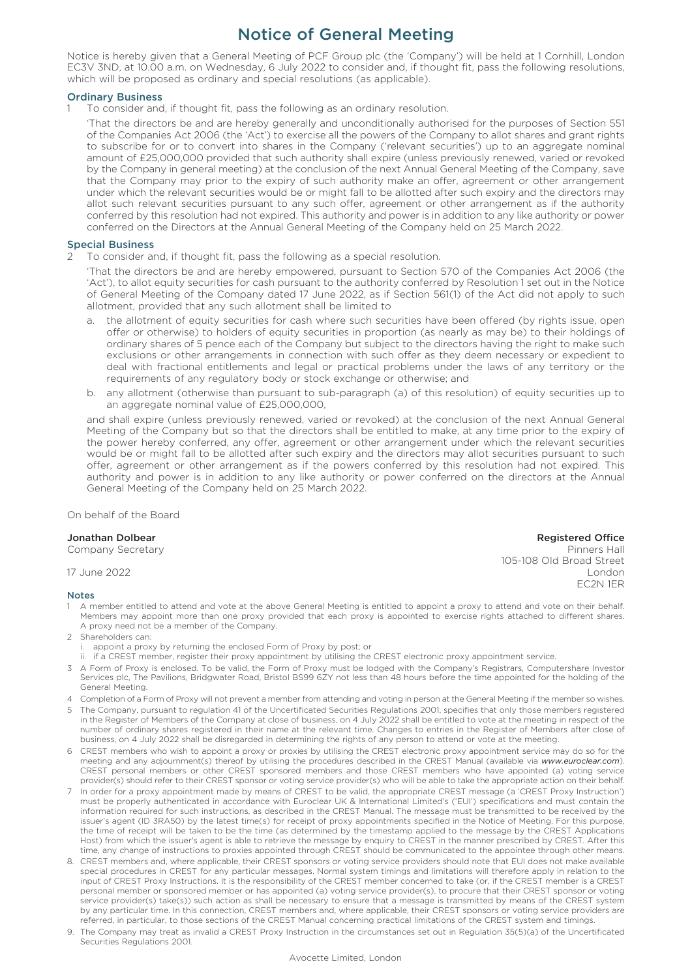## Notice of General Meeting

Notice is hereby given that a General Meeting of PCF Group plc (the 'Company') will be held at 1 Cornhill, London EC3V 3ND, at 10.00 a.m. on Wednesday, 6 July 2022 to consider and, if thought fit, pass the following resolutions, which will be proposed as ordinary and special resolutions (as applicable).

## Ordinary Business

1 To consider and, if thought fit, pass the following as an ordinary resolution.

'That the directors be and are hereby generally and unconditionally authorised for the purposes of Section 551 of the Companies Act 2006 (the 'Act') to exercise all the powers of the Company to allot shares and grant rights to subscribe for or to convert into shares in the Company ('relevant securities') up to an aggregate nominal amount of £25,000,000 provided that such authority shall expire (unless previously renewed, varied or revoked by the Company in general meeting) at the conclusion of the next Annual General Meeting of the Company, save that the Company may prior to the expiry of such authority make an offer, agreement or other arrangement under which the relevant securities would be or might fall to be allotted after such expiry and the directors may allot such relevant securities pursuant to any such offer, agreement or other arrangement as if the authority conferred by this resolution had not expired. This authority and power is in addition to any like authority or power conferred on the Directors at the Annual General Meeting of the Company held on 25 March 2022.

### Special Business

2 To consider and, if thought fit, pass the following as a special resolution.

'That the directors be and are hereby empowered, pursuant to Section 570 of the Companies Act 2006 (the 'Act'), to allot equity securities for cash pursuant to the authority conferred by Resolution 1 set out in the Notice of General Meeting of the Company dated 17 June 2022, as if Section 561(1) of the Act did not apply to such allotment, provided that any such allotment shall be limited to

- a. the allotment of equity securities for cash where such securities have been offered (by rights issue, open offer or otherwise) to holders of equity securities in proportion (as nearly as may be) to their holdings of ordinary shares of 5 pence each of the Company but subject to the directors having the right to make such exclusions or other arrangements in connection with such offer as they deem necessary or expedient to deal with fractional entitlements and legal or practical problems under the laws of any territory or the requirements of any regulatory body or stock exchange or otherwise; and
- b. any allotment (otherwise than pursuant to sub-paragraph (a) of this resolution) of equity securities up to an aggregate nominal value of £25,000,000,

and shall expire (unless previously renewed, varied or revoked) at the conclusion of the next Annual General Meeting of the Company but so that the directors shall be entitled to make, at any time prior to the expiry of the power hereby conferred, any offer, agreement or other arrangement under which the relevant securities would be or might fall to be allotted after such expiry and the directors may allot securities pursuant to such offer, agreement or other arrangement as if the powers conferred by this resolution had not expired. This authority and power is in addition to any like authority or power conferred on the directors at the Annual General Meeting of the Company held on 25 March 2022.

On behalf of the Board

### Jonathan Dolbear Registered Office

### **Notes**

- 1 A member entitled to attend and vote at the above General Meeting is entitled to appoint a proxy to attend and vote on their behalf. Members may appoint more than one proxy provided that each proxy is appointed to exercise rights attached to different shares. A proxy need not be a member of the Company.
- 2 Shareholders can:
	- appoint a proxy by returning the enclosed Form of Proxy by post; or
	- ii. if a CREST member, register their proxy appointment by utilising the CREST electronic proxy appointment service.
- 3 A Form of Proxy is enclosed. To be valid, the Form of Proxy must be lodged with the Company's Registrars, Computershare Investor Services plc, The Pavilions, Bridgwater Road, Bristol BS99 6ZY not less than 48 hours before the time appointed for the holding of the General Meeting.
- 4 Completion of a Form of Proxy will not prevent a member from attending and voting in person at the General Meeting if the member so wishes.
- 5 The Company, pursuant to regulation 41 of the Uncertificated Securities Regulations 2001, specifies that only those members registered in the Register of Members of the Company at close of business, on 4 July 2022 shall be entitled to vote at the meeting in respect of the number of ordinary shares registered in their name at the relevant time. Changes to entries in the Register of Members after close of business, on 4 July 2022 shall be disregarded in determining the rights of any person to attend or vote at the meeting.
- 6 CREST members who wish to appoint a proxy or proxies by utilising the CREST electronic proxy appointment service may do so for the meeting and any adjournment(s) thereof by utilising the procedures described in the CREST meeting and any adjournment(s) thereof by utilising the procedures described in the CREST Manual (available via www.euroclear.com).<br>CREST personal members or other CREST sponsored members and those CREST members who have a provider(s) should refer to their CREST sponsor or voting service provider(s) who will be able to take the appropriate action on their behalf.
- 7 In order for a proxy appointment made by means of CREST to be valid, the appropriate CREST message (a 'CREST Proxy Instruction') must be properly authenticated in accordance with Euroclear UK & International Limited's ('EUI') specifications and must contain the information required for such instructions, as described in the CREST Manual. The message must be transmitted to be received by the issuer's agent (ID 3RA50) by the latest time(s) for receipt of proxy appointments specified in the Notice of Meeting. For this purpose, the time of receipt will be taken to be the time (as determined by the timestamp applied to the message by the CREST Applications Host) from which the issuer's agent is able to retrieve the message by enquiry to CREST in the manner prescribed by CREST. After this time, any change of instructions to proxies appointed through CREST should be communicated to the appointee through other means.
- 8. CREST members and, where applicable, their CREST sponsors or voting service providers should note that EUI does not make available special procedures in CREST for any particular messages. Normal system timings and limitations will therefore apply in relation to the input of CREST Proxy Instructions. It is the responsibility of the CREST member concerned to take (or, if the CREST member is a CREST personal member or sponsored member or has appointed (a) voting service provider(s), to procure that their CREST sponsor or voting service provider(s) take(s)) such action as shall be necessary to ensure that a message is transmitted by means of the CREST system by any particular time. In this connection, CREST members and, where applicable, their CREST sponsors or voting service providers are referred, in particular, to those sections of the CREST Manual concerning practical limitations of the CREST system and timings.
- 9. The Company may treat as invalid a CREST Proxy Instruction in the circumstances set out in Regulation 35(5)(a) of the Uncertificated Securities Regulations 2001.

Company Secretary **Pinners Hall** 105-108 Old Broad Street 17 June 2022 London

EC2N 1ER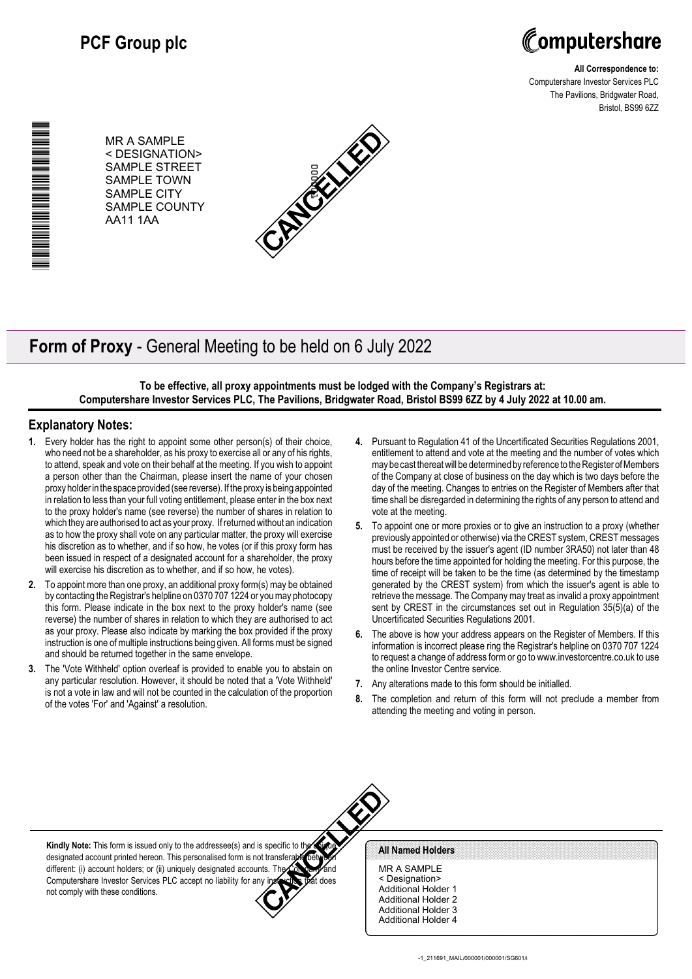

**All Correspondence to:** Computershare Investor Services PLC The Pavilions, Bridgwater Road, Bristol, BS99 6ZZ

MR A SAMPLE < DESIGNATION> SAMPLE STREET SAMPLE TOWN SAMPLE CITY SAMPLE COUNTY AA11 1AA



## **Form of Proxy** - General Meeting to be held on 6 July 2022

**To be effective, all proxy appointments must be lodged with the Company's Registrars at: Computershare Investor Services PLC, The Pavilions, Bridgwater Road, Bristol BS99 6ZZ by 4 July 2022 at 10.00 am.**

## **Explanatory Notes:**

\*00000101010000\*

▊▊▊▊▊▊▊▊▊▊▊▊▊▊▊▊▊

- **1.** Every holder has the right to appoint some other person(s) of their choice, who need not be a shareholder, as his proxy to exercise all or any of his rights, to attend, speak and vote on their behalf at the meeting. If you wish to appoint a person other than the Chairman, please insert the name of your chosen proxy holder in the space provided (see reverse). If the proxy is being appointed in relation to less than your full voting entitlement, please enter in the box next to the proxy holder's name (see reverse) the number of shares in relation to which they are authorised to act as your proxy. If returned without an indication as to how the proxy shall vote on any particular matter, the proxy will exercise his discretion as to whether, and if so how, he votes (or if this proxy form has been issued in respect of a designated account for a shareholder, the proxy will exercise his discretion as to whether, and if so how, he votes).
- **2.** To appoint more than one proxy, an additional proxy form(s) may be obtained by contacting the Registrar's helpline on 0370 707 1224 or you may photocopy this form. Please indicate in the box next to the proxy holder's name (see reverse) the number of shares in relation to which they are authorised to act as your proxy. Please also indicate by marking the box provided if the proxy instruction is one of multiple instructions being given. All forms must be signed and should be returned together in the same envelope.
- **3.** The 'Vote Withheld' option overleaf is provided to enable you to abstain on any particular resolution. However, it should be noted that a 'Vote Withheld' is not a vote in law and will not be counted in the calculation of the proportion of the votes 'For' and 'Against' a resolution.
- **4.** Pursuant to Regulation 41 of the Uncertificated Securities Regulations 2001, entitlement to attend and vote at the meeting and the number of votes which may be cast thereat will be determined by reference to the Register of Members of the Company at close of business on the day which is two days before the day of the meeting. Changes to entries on the Register of Members after that time shall be disregarded in determining the rights of any person to attend and vote at the meeting.
- **5.** To appoint one or more proxies or to give an instruction to a proxy (whether previously appointed or otherwise) via the CREST system, CREST messages must be received by the issuer's agent (ID number 3RA50) not later than 48 hours before the time appointed for holding the meeting. For this purpose, the time of receipt will be taken to be the time (as determined by the timestamp generated by the CREST system) from which the issuer's agent is able to retrieve the message. The Company may treat as invalid a proxy appointment sent by CREST in the circumstances set out in Regulation 35(5)(a) of the Uncertificated Securities Regulations 2001.
- **6.** The above is how your address appears on the Register of Members. If this information is incorrect please ring the Registrar's helpline on 0370 707 1224 to request a change of address form or go to www.investorcentre.co.uk to use the online Investor Centre service.
- **7.** Any alterations made to this form should be initialled.
- **8.** The completion and return of this form will not preclude a member from attending the meeting and voting in person.



**Kindly Note:** This form is issued only to the addressee(s) and is specific to the unique designated account printed hereon. This personalised form is not transferable between different: (i) account holders; or (ii) uniquely designated accounts. The Company and Computershare Investor Services PLC accept no liability for any instruction that does not comply with these conditions.

### **All Named Holders**

MR A SAMPLE < Designation> Additional Holder 1 Additional Holder 2 Additional Holder 3 Additional Holder 4